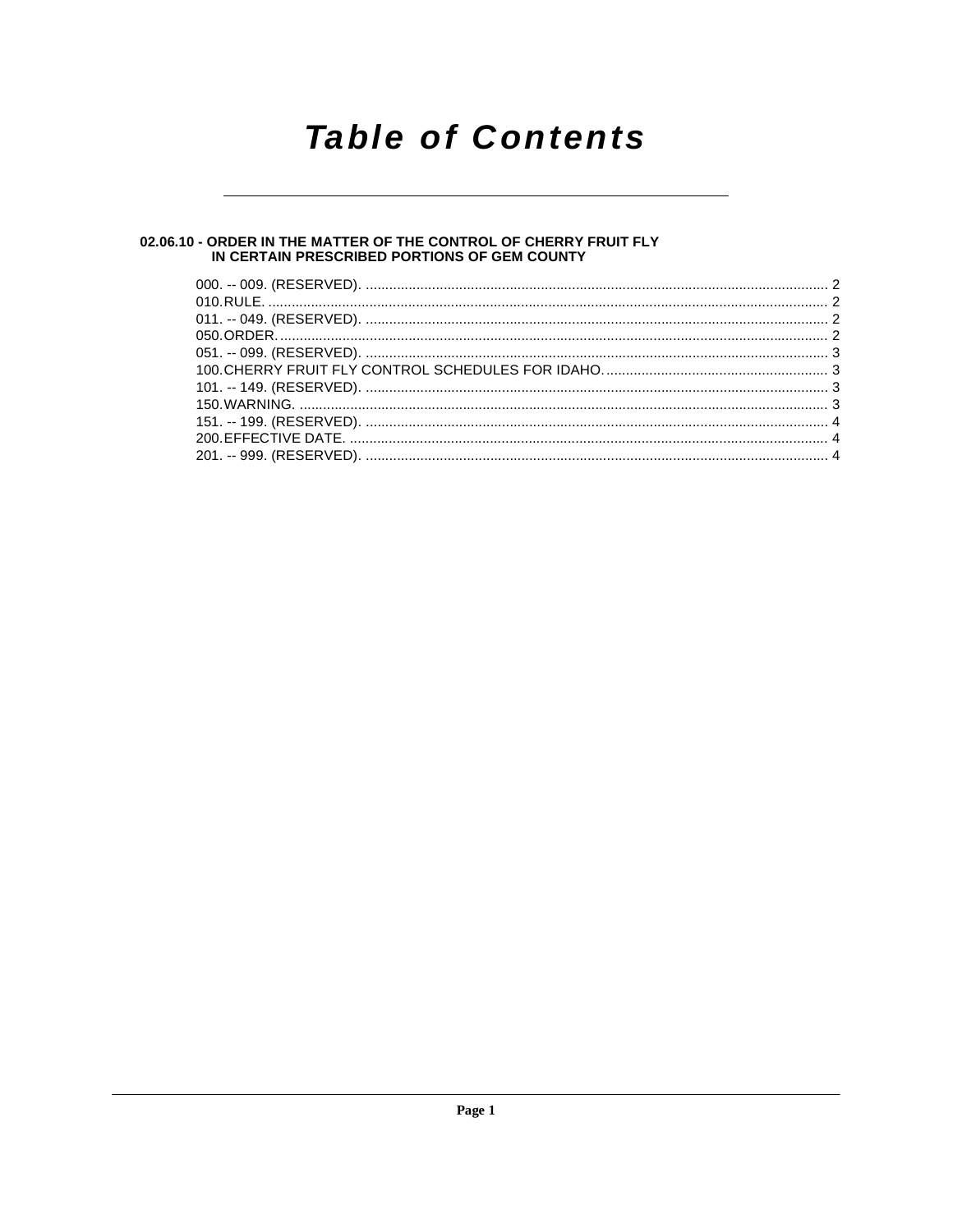## **Table of Contents**

### 02.06.10 - ORDER IN THE MATTER OF THE CONTROL OF CHERRY FRUIT FLY<br>IN CERTAIN PRESCRIBED PORTIONS OF GEM COUNTY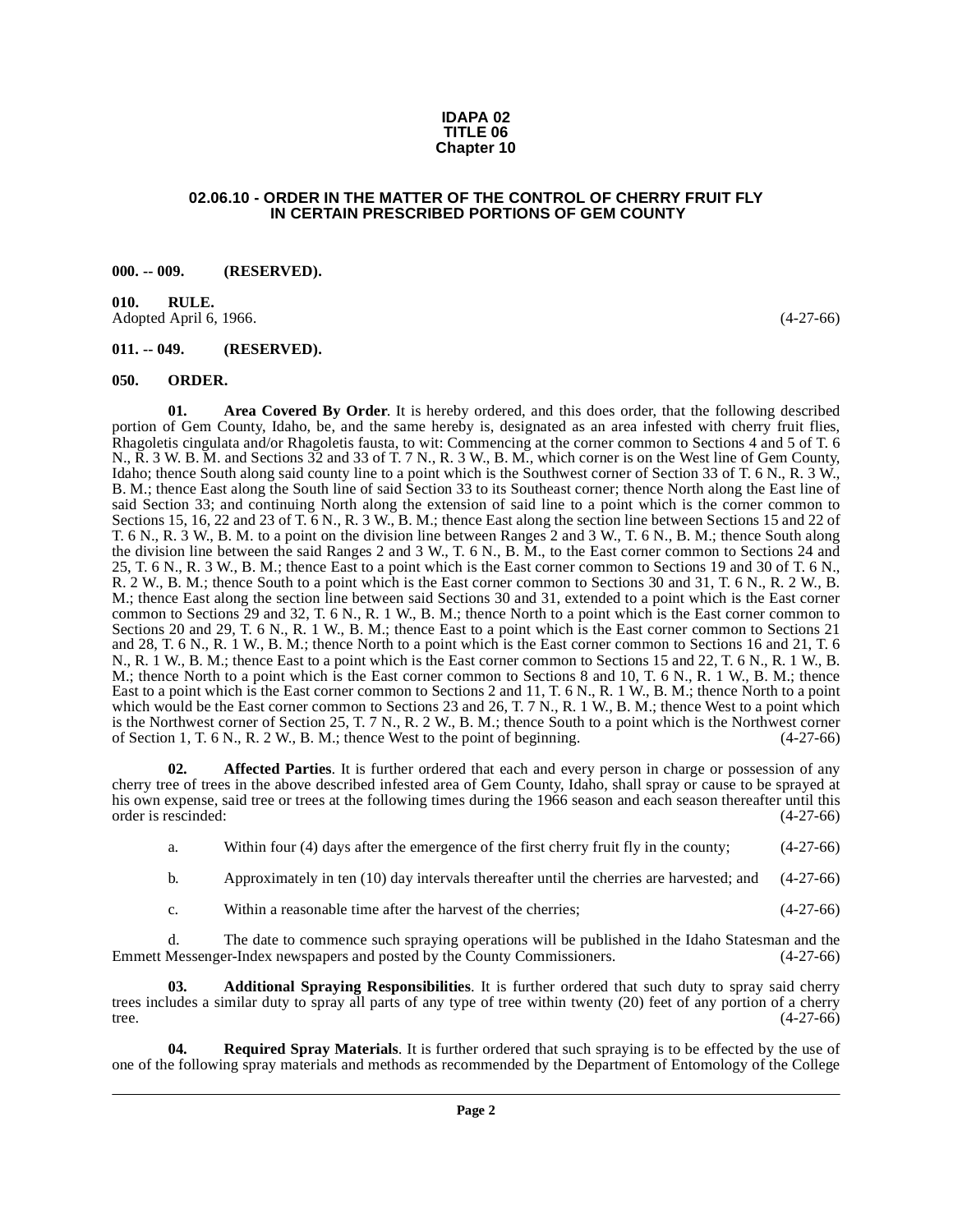#### **IDAPA 02 TITLE 06 Chapter 10**

#### **02.06.10 - ORDER IN THE MATTER OF THE CONTROL OF CHERRY FRUIT FLY IN CERTAIN PRESCRIBED PORTIONS OF GEM COUNTY**

#### <span id="page-1-1"></span><span id="page-1-0"></span>**000. -- 009. (RESERVED).**

<span id="page-1-2"></span>**010. RULE.**  Adopted April 6, 1966. (4-27-66)

#### <span id="page-1-3"></span>**011. -- 049. (RESERVED).**

#### <span id="page-1-8"></span><span id="page-1-4"></span>**050. ORDER.**

<span id="page-1-7"></span>**01. Area Covered By Order**. It is hereby ordered, and this does order, that the following described portion of Gem County, Idaho, be, and the same hereby is, designated as an area infested with cherry fruit flies, Rhagoletis cingulata and/or Rhagoletis fausta, to wit: Commencing at the corner common to Sections 4 and 5 of T. 6 N., R. 3 W. B. M. and Sections 32 and 33 of T. 7 N., R. 3 W., B. M., which corner is on the West line of Gem County, Idaho; thence South along said county line to a point which is the Southwest corner of Section 33 of T. 6 N., R. 3 W., B. M.; thence East along the South line of said Section 33 to its Southeast corner; thence North along the East line of said Section 33; and continuing North along the extension of said line to a point which is the corner common to Sections 15, 16, 22 and 23 of T. 6 N., R. 3 W., B. M.; thence East along the section line between Sections 15 and 22 of T. 6 N., R. 3 W., B. M. to a point on the division line between Ranges 2 and 3 W., T. 6 N., B. M.; thence South along the division line between the said Ranges 2 and 3 W., T. 6 N., B. M., to the East corner common to Sections 24 and 25, T. 6 N., R. 3 W., B. M.; thence East to a point which is the East corner common to Sections 19 and 30 of T. 6 N., R. 2 W., B. M.; thence South to a point which is the East corner common to Sections 30 and 31, T. 6 N., R. 2 W., B. M.; thence East along the section line between said Sections 30 and 31, extended to a point which is the East corner common to Sections 29 and 32, T. 6 N., R. 1 W., B. M.; thence North to a point which is the East corner common to Sections 20 and 29, T. 6 N., R. 1 W., B. M.; thence East to a point which is the East corner common to Sections 21 and 28, T. 6 N., R. 1 W., B. M.; thence North to a point which is the East corner common to Sections 16 and 21, T. 6 N., R. 1 W., B. M.; thence East to a point which is the East corner common to Sections 15 and 22, T. 6 N., R. 1 W., B. M.; thence North to a point which is the East corner common to Sections 8 and 10, T. 6 N., R. 1 W., B. M.; thence East to a point which is the East corner common to Sections 2 and 11, T. 6 N., R. 1 W., B. M.; thence North to a point which would be the East corner common to Sections 23 and 26, T. 7 N., R. 1 W., B. M.; thence West to a point which is the Northwest corner of Section 25, T. 7 N., R. 2 W., B. M.; thence South to a point which is the Northwest corner of Section 1, T. 6 N., R. 2 W., B. M.; thence West to the point of beginning. (4-27-66)

**02. Affected Parties**. It is further ordered that each and every person in charge or possession of any cherry tree of trees in the above described infested area of Gem County, Idaho, shall spray or cause to be sprayed at his own expense, said tree or trees at the following times during the 1966 season and each season thereafter until this order is rescinded: (4-27-66)

<span id="page-1-6"></span>a. Within four (4) days after the emergence of the first cherry fruit fly in the county; (4-27-66)

b. Approximately in ten (10) day intervals thereafter until the cherries are harvested; and (4-27-66)

<span id="page-1-5"></span>c. Within a reasonable time after the harvest of the cherries; (4-27-66)

d. The date to commence such spraying operations will be published in the Idaho Statesman and the Messenger-Index newspapers and posted by the County Commissioners. (4-27-66) Emmett Messenger-Index newspapers and posted by the County Commissioners.

**03. Additional Spraying Responsibilities**. It is further ordered that such duty to spray said cherry trees includes a similar duty to spray all parts of any type of tree within twenty (20) feet of any portion of a cherry tree. tree.  $(4-27-66)$ 

<span id="page-1-9"></span>**04. Required Spray Materials**. It is further ordered that such spraying is to be effected by the use of one of the following spray materials and methods as recommended by the Department of Entomology of the College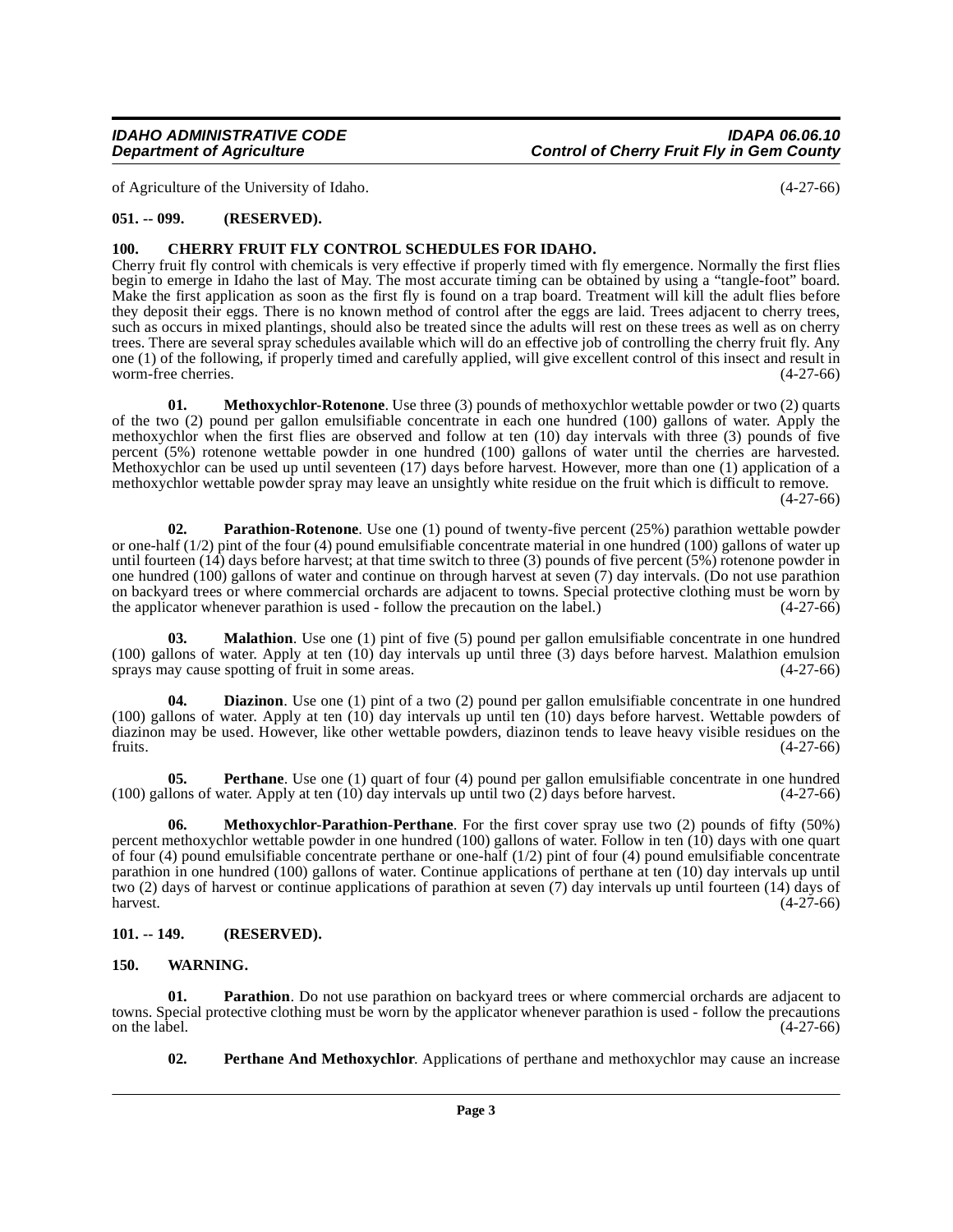of Agriculture of the University of Idaho. (4-27-66)

#### <span id="page-2-0"></span>**051. -- 099. (RESERVED).**

#### <span id="page-2-4"></span><span id="page-2-1"></span>**100. CHERRY FRUIT FLY CONTROL SCHEDULES FOR IDAHO.**

Cherry fruit fly control with chemicals is very effective if properly timed with fly emergence. Normally the first flies begin to emerge in Idaho the last of May. The most accurate timing can be obtained by using a "tangle-foot" board. Make the first application as soon as the first fly is found on a trap board. Treatment will kill the adult flies before they deposit their eggs. There is no known method of control after the eggs are laid. Trees adjacent to cherry trees, such as occurs in mixed plantings, should also be treated since the adults will rest on these trees as well as on cherry trees. There are several spray schedules available which will do an effective job of controlling the cherry fruit fly. Any one (1) of the following, if properly timed and carefully applied, will give excellent control of this insect and result in worm-free cherries.

<span id="page-2-8"></span>**01. Methoxychlor-Rotenone**. Use three (3) pounds of methoxychlor wettable powder or two (2) quarts of the two (2) pound per gallon emulsifiable concentrate in each one hundred (100) gallons of water. Apply the methoxychlor when the first flies are observed and follow at ten (10) day intervals with three (3) pounds of five percent (5%) rotenone wettable powder in one hundred (100) gallons of water until the cherries are harvested. Methoxychlor can be used up until seventeen (17) days before harvest. However, more than one (1) application of a methoxychlor wettable powder spray may leave an unsightly white residue on the fruit which is difficult to remove.

(4-27-66)

<span id="page-2-10"></span>**02. Parathion-Rotenone**. Use one (1) pound of twenty-five percent (25%) parathion wettable powder or one-half  $(1/2)$  pint of the four  $(4)$  pound emulsifiable concentrate material in one hundred  $(100)$  gallons of water up until fourteen  $(14)$  days before harvest; at that time switch to three  $(3)$  pounds of five percent  $(5%)$  rotenone powder in one hundred (100) gallons of water and continue on through harvest at seven (7) day intervals. (Do not use parathion on backyard trees or where commercial orchards are adjacent to towns. Special protective clothing must be worn by the applicator whenever parathion is used - follow the precaution on the label.) (4-27-66) the applicator whenever parathion is used - follow the precaution on the label.)

<span id="page-2-6"></span>**03. Malathion**. Use one (1) pint of five (5) pound per gallon emulsifiable concentrate in one hundred (100) gallons of water. Apply at ten (10) day intervals up until three (3) days before harvest. Malathion emulsion sprays may cause spotting of fruit in some areas. (4-27-66)

<span id="page-2-5"></span>**04. Diazinon**. Use one (1) pint of a two (2) pound per gallon emulsifiable concentrate in one hundred (100) gallons of water. Apply at ten  $(10)$  day intervals up until ten  $(10)$  days before harvest. Wettable powders of diazinon may be used. However, like other wettable powders, diazinon tends to leave heavy visible residues on the fruits. (4-27-66) fruits.  $(4-27-66)$ 

<span id="page-2-11"></span>**05.** Perthane. Use one (1) quart of four (4) pound per gallon emulsifiable concentrate in one hundred lons of water. Apply at ten (10) day intervals up until two (2) days before harvest. (4-27-66) (100) gallons of water. Apply at ten  $(10)$  day intervals up until two  $(2)$  days before harvest.

<span id="page-2-7"></span>**06.** Methoxychlor-Parathion-Perthane. For the first cover spray use two (2) pounds of fifty (50%) percent methoxychlor wettable powder in one hundred (100) gallons of water. Follow in ten (10) days with one quart of four (4) pound emulsifiable concentrate perthane or one-half (1/2) pint of four (4) pound emulsifiable concentrate parathion in one hundred (100) gallons of water. Continue applications of perthane at ten (10) day intervals up until two (2) days of harvest or continue applications of parathion at seven (7) day intervals up until fourteen (14) days of  $h$ arvest.  $(4-27-66)$ 

#### <span id="page-2-2"></span>**101. -- 149. (RESERVED).**

#### <span id="page-2-13"></span><span id="page-2-3"></span>**150. WARNING.**

**01. Parathion**. Do not use parathion on backyard trees or where commercial orchards are adjacent to towns. Special protective clothing must be worn by the applicator whenever parathion is used - follow the precautions<br>(4-27-66) on the label.  $(4-27-66)$ 

<span id="page-2-12"></span><span id="page-2-9"></span>**02. Perthane And Methoxychlor**. Applications of perthane and methoxychlor may cause an increase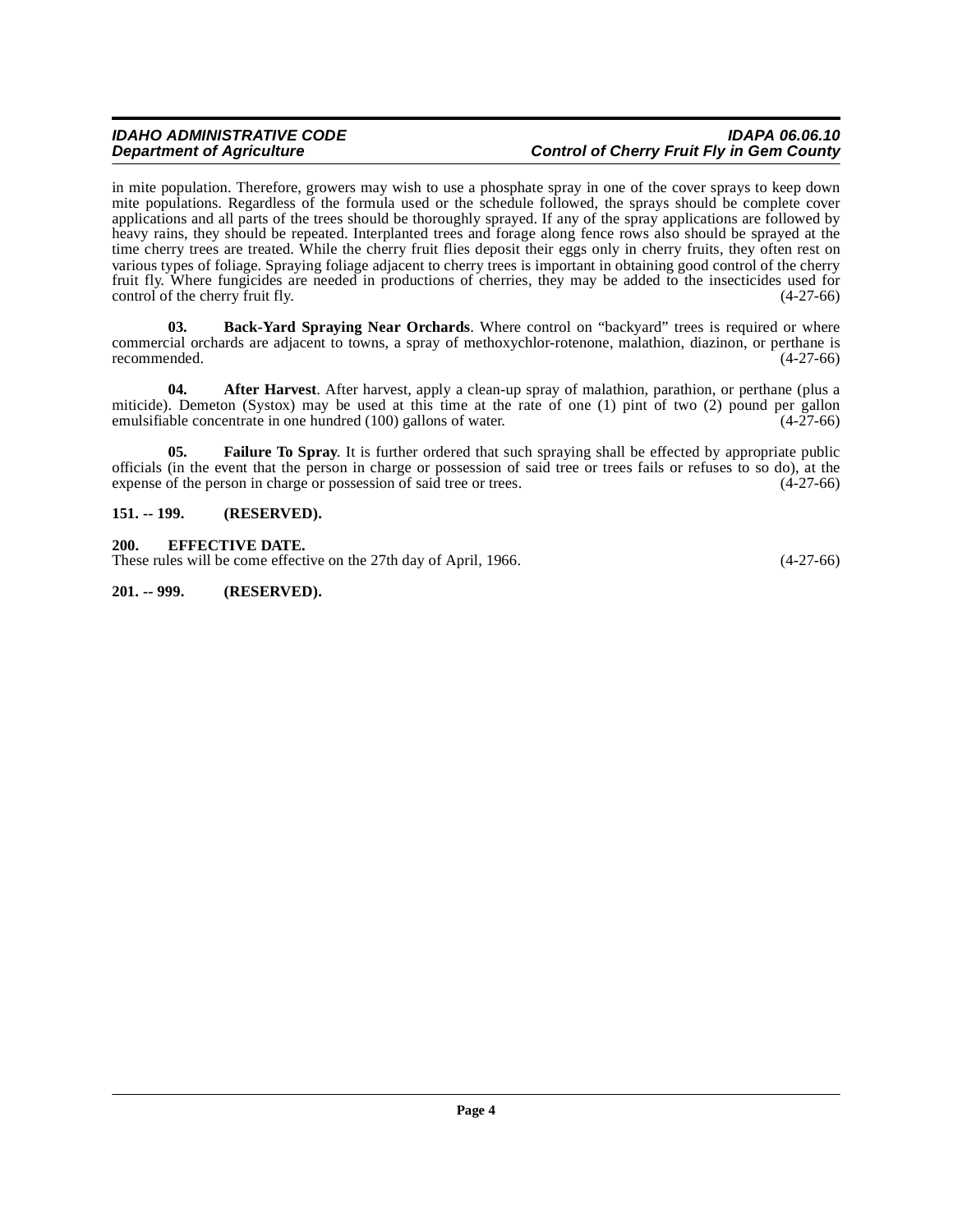#### **IDAHO ADMINISTRATIVE CODE IDAPA 06.06.10 Control of Cherry Fruit Fly in Gem County**

in mite population. Therefore, growers may wish to use a phosphate spray in one of the cover sprays to keep down mite populations. Regardless of the formula used or the schedule followed, the sprays should be complete cover applications and all parts of the trees should be thoroughly sprayed. If any of the spray applications are followed by heavy rains, they should be repeated. Interplanted trees and forage along fence rows also should be sprayed at the time cherry trees are treated. While the cherry fruit flies deposit their eggs only in cherry fruits, they often rest on various types of foliage. Spraying foliage adjacent to cherry trees is important in obtaining good control of the cherry fruit fly. Where fungicides are needed in productions of cherries, they may be added to the insecticides used for control of the cherry fruit fly. (4-27-66)

<span id="page-3-4"></span>**03. Back-Yard Spraying Near Orchards**. Where control on "backyard" trees is required or where commercial orchards are adjacent to towns, a spray of methoxychlor-rotenone, malathion, diazinon, or perthane is recommended. (4-27-66) recommended.

<span id="page-3-3"></span>**04. After Harvest**. After harvest, apply a clean-up spray of malathion, parathion, or perthane (plus a miticide). Demeton (Systox) may be used at this time at the rate of one (1) pint of two (2) pound per gallon emulsifiable concentrate in one hundred (100) gallons of water. (4-27-66) emulsifiable concentrate in one hundred  $(100)$  gallons of water.

<span id="page-3-5"></span>**05.** Failure To Spray. It is further ordered that such spraying shall be effected by appropriate public officials (in the event that the person in charge or possession of said tree or trees fails or refuses to so do), at the expense of the person in charge or possession of said tree or trees. (4-27-66)

#### <span id="page-3-0"></span>**151. -- 199. (RESERVED).**

#### <span id="page-3-1"></span>**200. EFFECTIVE DATE.**

These rules will be come effective on the 27th day of April, 1966. (4-27-66)

<span id="page-3-2"></span>**201. -- 999. (RESERVED).**